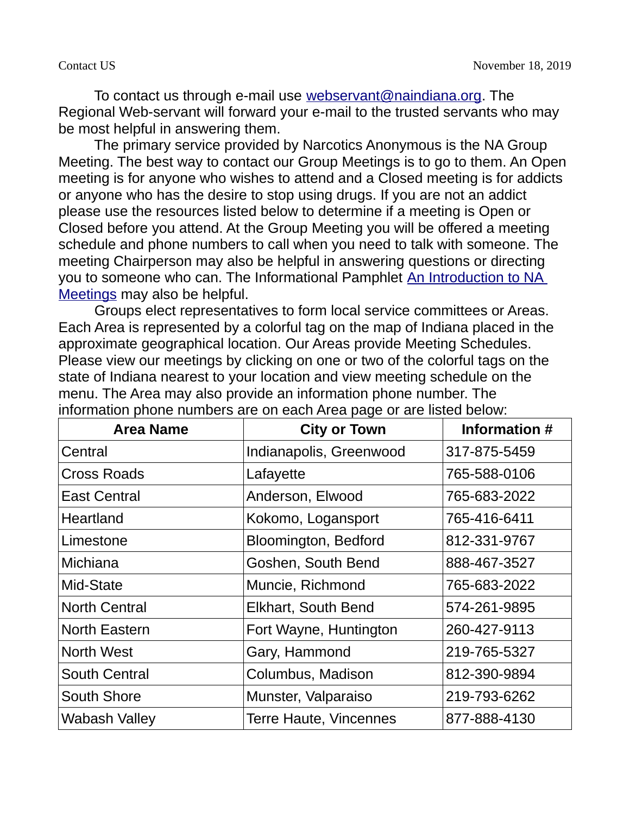To contact us through e-mail use [webservant@naindiana.org.](mailto:webservant@naindiana.org) The Regional Web-servant will forward your e-mail to the trusted servants who may be most helpful in answering them.

 The primary service provided by Narcotics Anonymous is the NA Group Meeting. The best way to contact our Group Meetings is to go to them. An Open meeting is for anyone who wishes to attend and a Closed meeting is for addicts or anyone who has the desire to stop using drugs. If you are not an addict please use the resources listed below to determine if a meeting is Open or Closed before you attend. At the Group Meeting you will be offered a meeting schedule and phone numbers to call when you need to talk with someone. The meeting Chairperson may also be helpful in answering questions or directing you to someone who can. The Informational Pamphlet [An Introduction to NA](http://www.na.org/admin/include/spaw2/uploads/pdf/servicemat/2012Jun_Intro_to_NA_Meetings.pdf)  [Meetings](http://www.na.org/admin/include/spaw2/uploads/pdf/servicemat/2012Jun_Intro_to_NA_Meetings.pdf) may also be helpful.

 Groups elect representatives to form local service committees or Areas. Each Area is represented by a colorful tag on the map of Indiana placed in the approximate geographical location. Our Areas provide Meeting Schedules. Please view our meetings by clicking on one or two of the colorful tags on the state of Indiana nearest to your location and view meeting schedule on the menu. The Area may also provide an information phone number. The information phone numbers are on each Area page or are listed below:

| <b>Area Name</b>     | <b>City or Town</b>           | Information # |
|----------------------|-------------------------------|---------------|
| Central              | Indianapolis, Greenwood       | 317-875-5459  |
| <b>Cross Roads</b>   | Lafayette                     | 765-588-0106  |
| <b>East Central</b>  | Anderson, Elwood              | 765-683-2022  |
| Heartland            | Kokomo, Logansport            | 765-416-6411  |
| Limestone            | Bloomington, Bedford          | 812-331-9767  |
| <b>Michiana</b>      | Goshen, South Bend            | 888-467-3527  |
| Mid-State            | Muncie, Richmond              | 765-683-2022  |
| <b>North Central</b> | <b>Elkhart, South Bend</b>    | 574-261-9895  |
| <b>North Eastern</b> | Fort Wayne, Huntington        | 260-427-9113  |
| <b>North West</b>    | Gary, Hammond                 | 219-765-5327  |
| South Central        | Columbus, Madison             | 812-390-9894  |
| <b>South Shore</b>   | Munster, Valparaiso           | 219-793-6262  |
| <b>Wabash Valley</b> | <b>Terre Haute, Vincennes</b> | 877-888-4130  |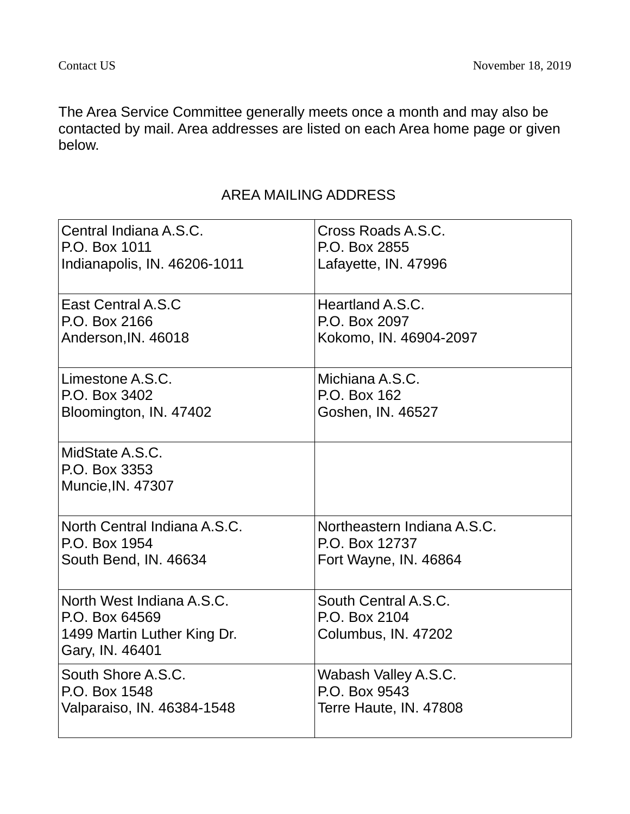The Area Service Committee generally meets once a month and may also be contacted by mail. Area addresses are listed on each Area home page or given below.

## AREA MAILING ADDRESS

| Central Indiana A.S.C.                                                                        | Cross Roads A.S.C.                                           |
|-----------------------------------------------------------------------------------------------|--------------------------------------------------------------|
| P.O. Box 1011                                                                                 | P.O. Box 2855                                                |
| Indianapolis, IN. 46206-1011                                                                  | Lafayette, IN. 47996                                         |
| East Central A.S.C                                                                            | Heartland A.S.C.                                             |
| P.O. Box 2166                                                                                 | P.O. Box 2097                                                |
| Anderson, IN. 46018                                                                           | Kokomo, IN. 46904-2097                                       |
| Limestone A.S.C.                                                                              | Michiana A.S.C.                                              |
| P.O. Box 3402                                                                                 | P.O. Box 162                                                 |
| Bloomington, IN. 47402                                                                        | Goshen, IN. 46527                                            |
| MidState A.S.C.<br>P.O. Box 3353<br>Muncie, IN. 47307                                         |                                                              |
| North Central Indiana A.S.C.                                                                  | Northeastern Indiana A.S.C.                                  |
| P.O. Box 1954                                                                                 | P.O. Box 12737                                               |
| South Bend, IN. 46634                                                                         | Fort Wayne, IN. 46864                                        |
| North West Indiana A.S.C.<br>P.O. Box 64569<br>1499 Martin Luther King Dr.<br>Gary, IN. 46401 | South Central A.S.C.<br>P.O. Box 2104<br>Columbus, IN. 47202 |
| South Shore A.S.C.                                                                            | Wabash Valley A.S.C.                                         |
| P.O. Box 1548                                                                                 | P.O. Box 9543                                                |
| Valparaiso, IN. 46384-1548                                                                    | Terre Haute, IN. 47808                                       |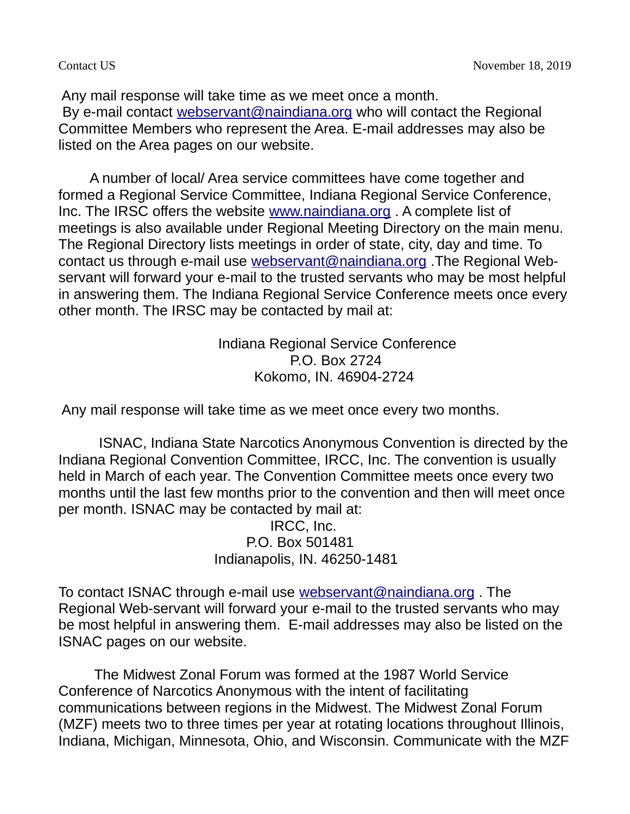Any mail response will take time as we meet once a month. By e-mail contact [webservant@naindiana.org](mailto:webservant@naindiana.org) who will contact the Regional Committee Members who represent the Area. E-mail addresses may also be listed on the Area pages on our website.

 A number of local/ Area service committees have come together and formed a Regional Service Committee, Indiana Regional Service Conference, Inc. The IRSC offers the website [www.naindiana.org](http://www.naindiana.org/) . A complete list of meetings is also available under Regional Meeting Directory on the main menu. The Regional Directory lists meetings in order of state, city, day and time. To contact us through e-mail use [webservant@naindiana.org](mailto:webservant@naindiana.org) .The Regional Webservant will forward your e-mail to the trusted servants who may be most helpful in answering them. The Indiana Regional Service Conference meets once every other month. The IRSC may be contacted by mail at:

> Indiana Regional Service Conference P.O. Box 2724 Kokomo, IN. 46904-2724

Any mail response will take time as we meet once every two months.

 ISNAC, Indiana State Narcotics Anonymous Convention is directed by the Indiana Regional Convention Committee, IRCC, Inc. The convention is usually held in March of each year. The Convention Committee meets once every two months until the last few months prior to the convention and then will meet once per month. ISNAC may be contacted by mail at:

> IRCC, Inc. P.O. Box 501481 Indianapolis, IN. 46250-1481

To contact ISNAC through e-mail use [webservant@naindiana.org](mailto:webservant@naindiana.org) . The Regional Web-servant will forward your e-mail to the trusted servants who may be most helpful in answering them. E-mail addresses may also be listed on the ISNAC pages on our website.

 The Midwest Zonal Forum was formed at the 1987 World Service Conference of Narcotics Anonymous with the intent of facilitating communications between regions in the Midwest. The Midwest Zonal Forum (MZF) meets two to three times per year at rotating locations throughout Illinois, Indiana, Michigan, Minnesota, Ohio, and Wisconsin. Communicate with the MZF